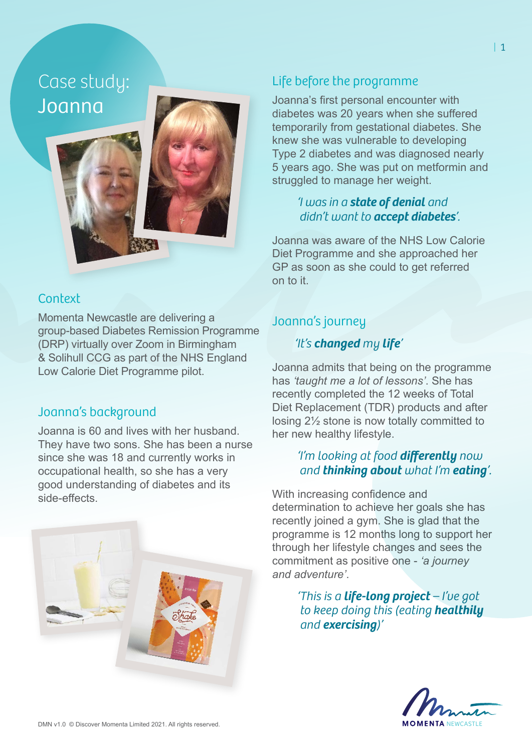Case study: Joanna

### **Context**

Momenta Newcastle are delivering a group-based Diabetes Remission Programme (DRP) virtually over Zoom in Birmingham & Solihull CCG as part of the NHS England Low Calorie Diet Programme pilot.

### Joanna's background

Joanna is 60 and lives with her husband. They have two sons. She has been a nurse since she was 18 and currently works in occupational health, so she has a very good understanding of diabetes and its side-effects.



## Life before the programme

Joanna's first personal encounter with diabetes was 20 years when she suffered temporarily from gestational diabetes. She knew she was vulnerable to developing Type 2 diabetes and was diagnosed nearly 5 years ago. She was put on metformin and struggled to manage her weight.

#### *'I was in a state of denial and didn't want to accept diabetes'.*

Joanna was aware of the NHS Low Calorie Diet Programme and she approached her GP as soon as she could to get referred on to it.

## Joanna's journey

#### *'It's changed my life'*

Joanna admits that being on the programme has *'taught me a lot of lessons'*. She has recently completed the 12 weeks of Total Diet Replacement (TDR) products and after losing 2½ stone is now totally committed to her new healthy lifestyle.

#### *'I'm looking at food differently now and thinking about what I'm eating'.*

With increasing confidence and determination to achieve her goals she has recently joined a gym. She is glad that the programme is 12 months long to support her through her lifestyle changes and sees the commitment as positive one - *'a journey and adventure'*.

> *'This is a life-long project – I've got to keep doing this (eating healthily and exercising)'*

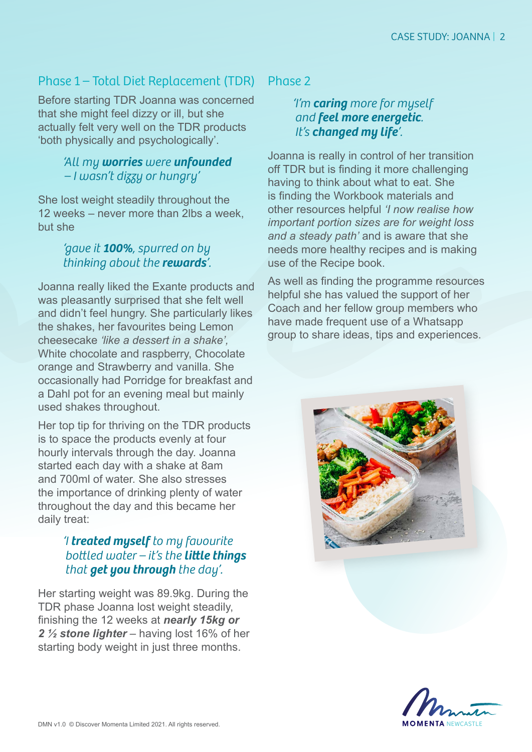## Phase 1 – Total Diet Replacement (TDR)

Before starting TDR Joanna was concerned that she might feel dizzy or ill, but she actually felt very well on the TDR products 'both physically and psychologically'.

#### *'All my worries were unfounded – I wasn't dizzy or hungry'*

She lost weight steadily throughout the 12 weeks – never more than 2lbs a week, but she

#### *'gave it 100%, spurred on by thinking about the rewards'.*

Joanna really liked the Exante products and was pleasantly surprised that she felt well and didn't feel hungry. She particularly likes the shakes, her favourites being Lemon cheesecake *'like a dessert in a shake',* White chocolate and raspberry, Chocolate orange and Strawberry and vanilla. She occasionally had Porridge for breakfast and a Dahl pot for an evening meal but mainly used shakes throughout.

Her top tip for thriving on the TDR products is to space the products evenly at four hourly intervals through the day. Joanna started each day with a shake at 8am and 700ml of water. She also stresses the importance of drinking plenty of water throughout the day and this became her daily treat:

#### *'I treated myself to my favourite bottled water – it's the little things that get you through the day'.*

Her starting weight was 89.9kg. During the TDR phase Joanna lost weight steadily, finishing the 12 weeks at *nearly 15kg or 2 ½ stone lighter* – having lost 16% of her starting body weight in just three months.

Phase 2

#### *'I'm caring more for myself and feel more energetic. It's changed my life'.*

Joanna is really in control of her transition off TDR but is finding it more challenging having to think about what to eat. She is finding the Workbook materials and other resources helpful *'I now realise how important portion sizes are for weight loss and a steady path'* and is aware that she needs more healthy recipes and is making use of the Recipe book.

As well as finding the programme resources helpful she has valued the support of her Coach and her fellow group members who have made frequent use of a Whatsapp group to share ideas, tips and experiences.